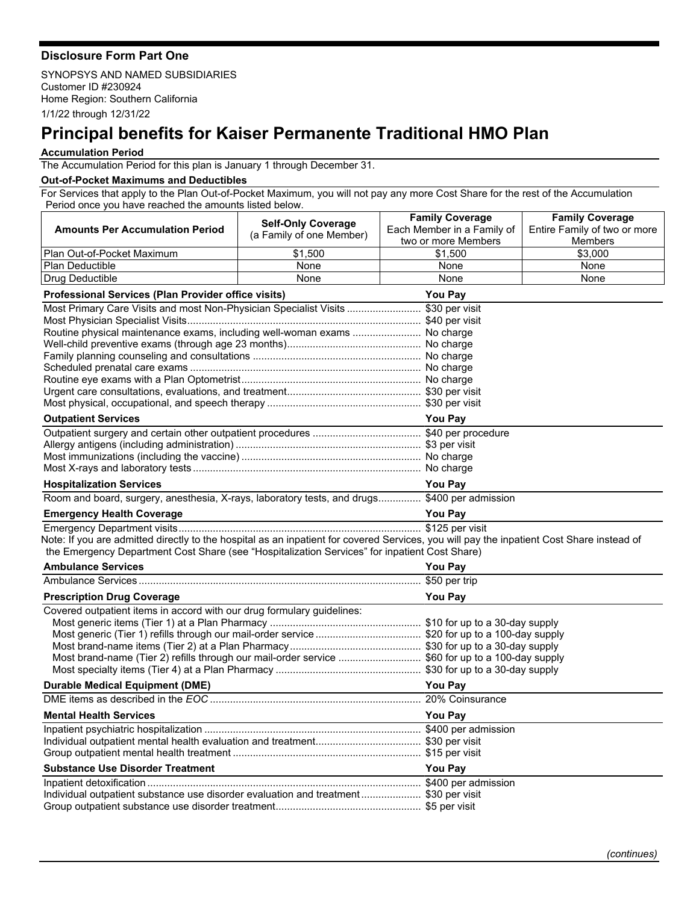## **Disclosure Form Part One**

SYNOPSYS AND NAMED SUBSIDIARIES Customer ID #230924 Home Region: Southern California 1/1/22 through 12/31/22

## **Principal benefits for Kaiser Permanente Traditional HMO Plan**

## **Accumulation Period**

The Accumulation Period for this plan is January 1 through December 31.

## **Out-of-Pocket Maximums and Deductibles**

For Services that apply to the Plan Out-of-Pocket Maximum, you will not pay any more Cost Share for the rest of the Accumulation Period once you have reached the amounts listed below.

|                                                                                                                                           | <b>Self-Only Coverage</b> | <b>Family Coverage</b>     | <b>Family Coverage</b>       |  |
|-------------------------------------------------------------------------------------------------------------------------------------------|---------------------------|----------------------------|------------------------------|--|
| <b>Amounts Per Accumulation Period</b>                                                                                                    | (a Family of one Member)  | Each Member in a Family of | Entire Family of two or more |  |
|                                                                                                                                           |                           | two or more Members        | Members                      |  |
| Plan Out-of-Pocket Maximum                                                                                                                | \$1,500                   | \$1,500                    | \$3,000                      |  |
| <b>Plan Deductible</b>                                                                                                                    | None                      | None                       | None                         |  |
| Drug Deductible                                                                                                                           | None                      | None                       | None                         |  |
| <b>Professional Services (Plan Provider office visits)</b><br><b>You Pay</b>                                                              |                           |                            |                              |  |
| Most Primary Care Visits and most Non-Physician Specialist Visits  \$30 per visit                                                         |                           |                            |                              |  |
|                                                                                                                                           |                           |                            |                              |  |
| Routine physical maintenance exams, including well-woman exams  No charge                                                                 |                           |                            |                              |  |
|                                                                                                                                           |                           |                            |                              |  |
|                                                                                                                                           |                           |                            |                              |  |
|                                                                                                                                           |                           |                            |                              |  |
|                                                                                                                                           |                           |                            |                              |  |
|                                                                                                                                           |                           |                            |                              |  |
|                                                                                                                                           |                           |                            |                              |  |
| <b>Outpatient Services</b>                                                                                                                |                           | <b>You Pay</b>             |                              |  |
|                                                                                                                                           |                           |                            |                              |  |
|                                                                                                                                           |                           |                            |                              |  |
|                                                                                                                                           |                           |                            |                              |  |
|                                                                                                                                           |                           |                            |                              |  |
| <b>Hospitalization Services</b>                                                                                                           |                           | <b>You Pay</b>             |                              |  |
| Room and board, surgery, anesthesia, X-rays, laboratory tests, and drugs \$400 per admission                                              |                           |                            |                              |  |
| <b>Emergency Health Coverage</b>                                                                                                          |                           | <b>You Pay</b>             |                              |  |
|                                                                                                                                           |                           |                            |                              |  |
| Note: If you are admitted directly to the hospital as an inpatient for covered Services, you will pay the inpatient Cost Share instead of |                           |                            |                              |  |
| the Emergency Department Cost Share (see "Hospitalization Services" for inpatient Cost Share)                                             |                           |                            |                              |  |
| <b>Ambulance Services</b>                                                                                                                 |                           | You Pay                    |                              |  |
|                                                                                                                                           |                           |                            |                              |  |
| <b>You Pay</b><br><b>Prescription Drug Coverage</b>                                                                                       |                           |                            |                              |  |
| Covered outpatient items in accord with our drug formulary guidelines:                                                                    |                           |                            |                              |  |
|                                                                                                                                           |                           |                            |                              |  |
|                                                                                                                                           |                           |                            |                              |  |
|                                                                                                                                           |                           |                            |                              |  |
| Most brand-name (Tier 2) refills through our mail-order service \$60 for up to a 100-day supply                                           |                           |                            |                              |  |
|                                                                                                                                           |                           |                            |                              |  |
| <b>Durable Medical Equipment (DME)</b>                                                                                                    |                           | <b>You Pay</b>             |                              |  |
|                                                                                                                                           |                           |                            |                              |  |
| <b>Mental Health Services</b>                                                                                                             |                           | <b>You Pay</b>             |                              |  |
|                                                                                                                                           |                           |                            |                              |  |
|                                                                                                                                           |                           |                            |                              |  |
|                                                                                                                                           |                           |                            |                              |  |
| <b>Substance Use Disorder Treatment</b>                                                                                                   |                           | You Pay                    |                              |  |
|                                                                                                                                           |                           |                            |                              |  |
| Individual outpatient substance use disorder evaluation and treatment \$30 per visit                                                      |                           |                            |                              |  |
|                                                                                                                                           |                           |                            |                              |  |